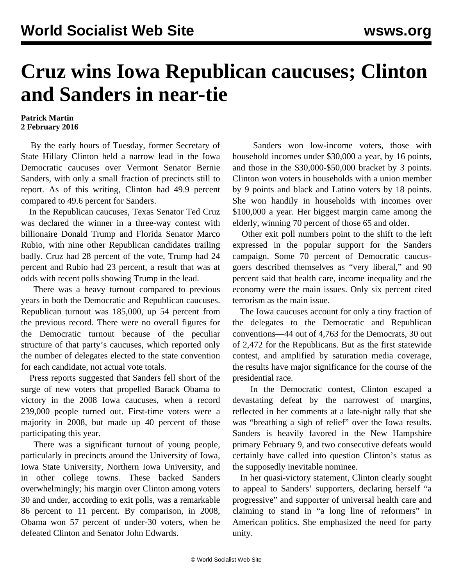## **Cruz wins Iowa Republican caucuses; Clinton and Sanders in near-tie**

## **Patrick Martin 2 February 2016**

 By the early hours of Tuesday, former Secretary of State Hillary Clinton held a narrow lead in the Iowa Democratic caucuses over Vermont Senator Bernie Sanders, with only a small fraction of precincts still to report. As of this writing, Clinton had 49.9 percent compared to 49.6 percent for Sanders.

 In the Republican caucuses, Texas Senator Ted Cruz was declared the winner in a three-way contest with billionaire Donald Trump and Florida Senator Marco Rubio, with nine other Republican candidates trailing badly. Cruz had 28 percent of the vote, Trump had 24 percent and Rubio had 23 percent, a result that was at odds with recent polls showing Trump in the lead.

 There was a heavy turnout compared to previous years in both the Democratic and Republican caucuses. Republican turnout was 185,000, up 54 percent from the previous record. There were no overall figures for the Democratic turnout because of the peculiar structure of that party's caucuses, which reported only the number of delegates elected to the state convention for each candidate, not actual vote totals.

 Press reports suggested that Sanders fell short of the surge of new voters that propelled Barack Obama to victory in the 2008 Iowa caucuses, when a record 239,000 people turned out. First-time voters were a majority in 2008, but made up 40 percent of those participating this year.

 There was a significant turnout of young people, particularly in precincts around the University of Iowa, Iowa State University, Northern Iowa University, and in other college towns. These backed Sanders overwhelmingly; his margin over Clinton among voters 30 and under, according to exit polls, was a remarkable 86 percent to 11 percent. By comparison, in 2008, Obama won 57 percent of under-30 voters, when he defeated Clinton and Senator John Edwards.

 Sanders won low-income voters, those with household incomes under \$30,000 a year, by 16 points, and those in the \$30,000-\$50,000 bracket by 3 points. Clinton won voters in households with a union member by 9 points and black and Latino voters by 18 points. She won handily in households with incomes over \$100,000 a year. Her biggest margin came among the elderly, winning 70 percent of those 65 and older.

 Other exit poll numbers point to the shift to the left expressed in the popular support for the Sanders campaign. Some 70 percent of Democratic caucusgoers described themselves as "very liberal," and 90 percent said that health care, income inequality and the economy were the main issues. Only six percent cited terrorism as the main issue.

 The Iowa caucuses account for only a tiny fraction of the delegates to the Democratic and Republican conventions—44 out of 4,763 for the Democrats, 30 out of 2,472 for the Republicans. But as the first statewide contest, and amplified by saturation media coverage, the results have major significance for the course of the presidential race.

 In the Democratic contest, Clinton escaped a devastating defeat by the narrowest of margins, reflected in her comments at a late-night rally that she was "breathing a sigh of relief" over the Iowa results. Sanders is heavily favored in the New Hampshire primary February 9, and two consecutive defeats would certainly have called into question Clinton's status as the supposedly inevitable nominee.

 In her quasi-victory statement, Clinton clearly sought to appeal to Sanders' supporters, declaring herself "a progressive" and supporter of universal health care and claiming to stand in "a long line of reformers" in American politics. She emphasized the need for party unity.